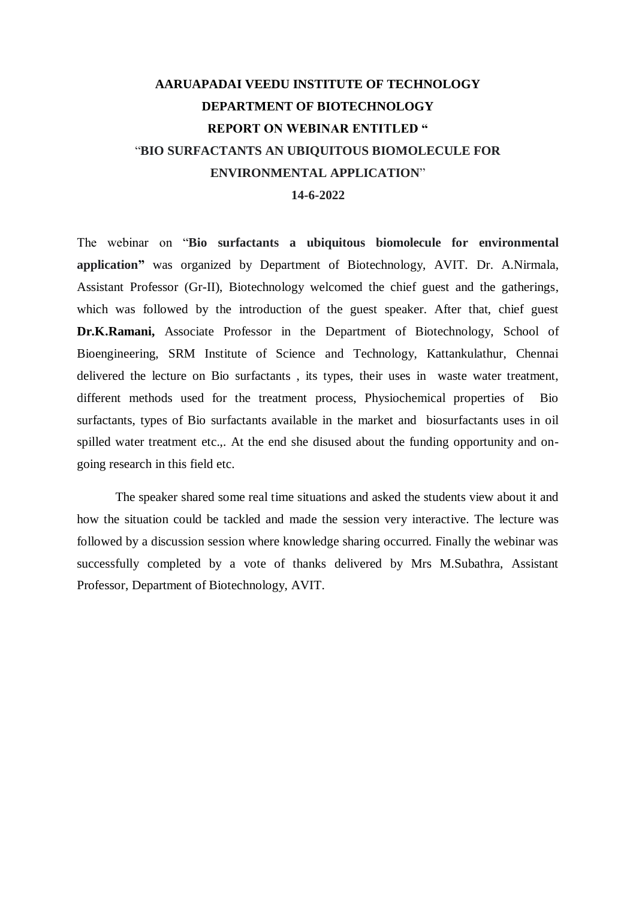## **AARUAPADAI VEEDU INSTITUTE OF TECHNOLOGY DEPARTMENT OF BIOTECHNOLOGY REPORT ON WEBINAR ENTITLED "** "**BIO SURFACTANTS AN UBIQUITOUS BIOMOLECULE FOR ENVIRONMENTAL APPLICATION**" **14-6-2022**

The webinar on "**Bio surfactants a ubiquitous biomolecule for environmental application"** was organized by Department of Biotechnology, AVIT. Dr. A.Nirmala, Assistant Professor (Gr-II), Biotechnology welcomed the chief guest and the gatherings, which was followed by the introduction of the guest speaker. After that, chief guest **Dr.K.Ramani,** Associate Professor in the Department of Biotechnology, School of Bioengineering, SRM Institute of Science and Technology, Kattankulathur, Chennai delivered the lecture on Bio surfactants , its types, their uses in waste water treatment, different methods used for the treatment process, Physiochemical properties of Bio surfactants, types of Bio surfactants available in the market and biosurfactants uses in oil spilled water treatment etc.,. At the end she disused about the funding opportunity and ongoing research in this field etc.

The speaker shared some real time situations and asked the students view about it and how the situation could be tackled and made the session very interactive. The lecture was followed by a discussion session where knowledge sharing occurred. Finally the webinar was successfully completed by a vote of thanks delivered by Mrs M.Subathra, Assistant Professor, Department of Biotechnology, AVIT.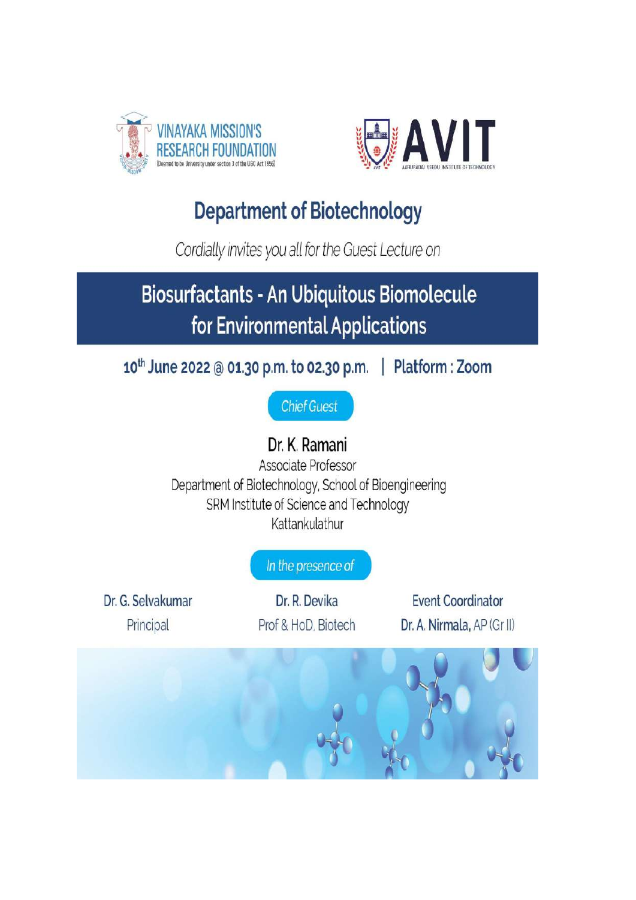



## **Department of Biotechnology**

Cordially invites you all for the Guest Lecture on

## **Biosurfactants - An Ubiquitous Biomolecule** for Environmental Applications

10th June 2022 @ 01.30 p.m. to 02.30 p.m. | Platform : Zoom

**Chief Guest** 

Dr. K. Ramani

Associate Professor Department of Biotechnology, School of Bioengineering SRM Institute of Science and Technology Kattankulathur

In the presence of

Dr. G. Selvakumar Principal

Dr. R. Devika Prof & HoD, Biotech

**Event Coordinator** Dr. A. Nirmala, AP (Gr II)

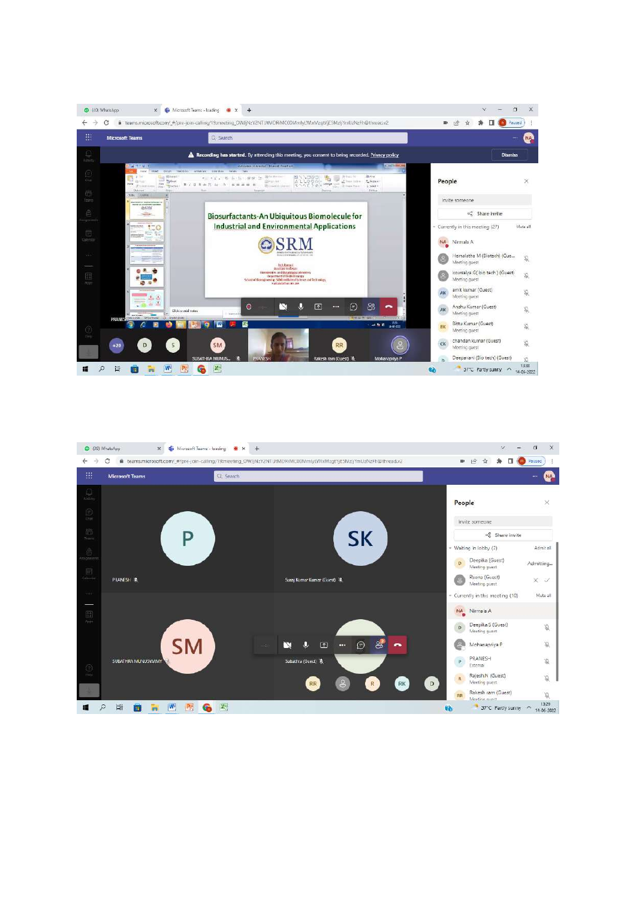

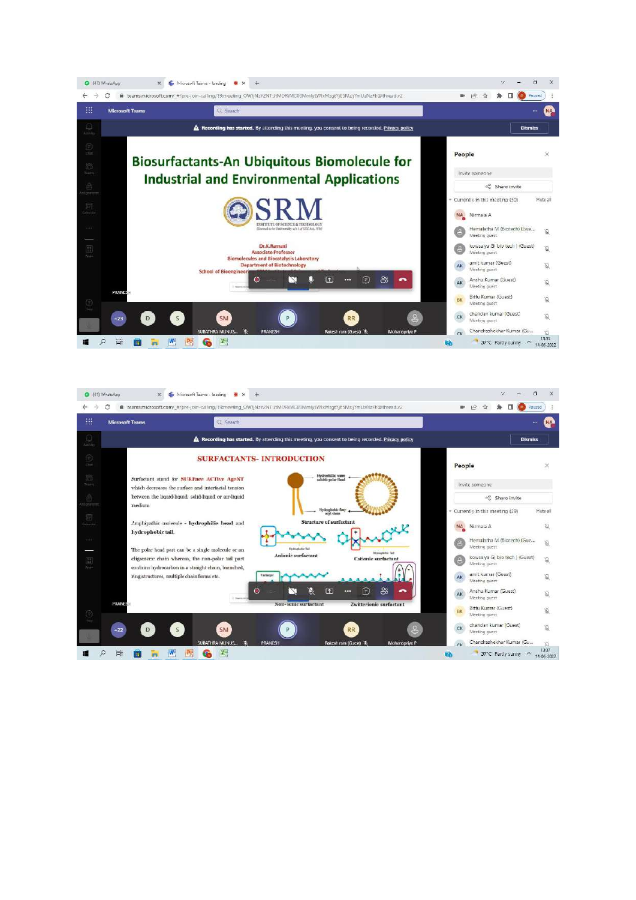